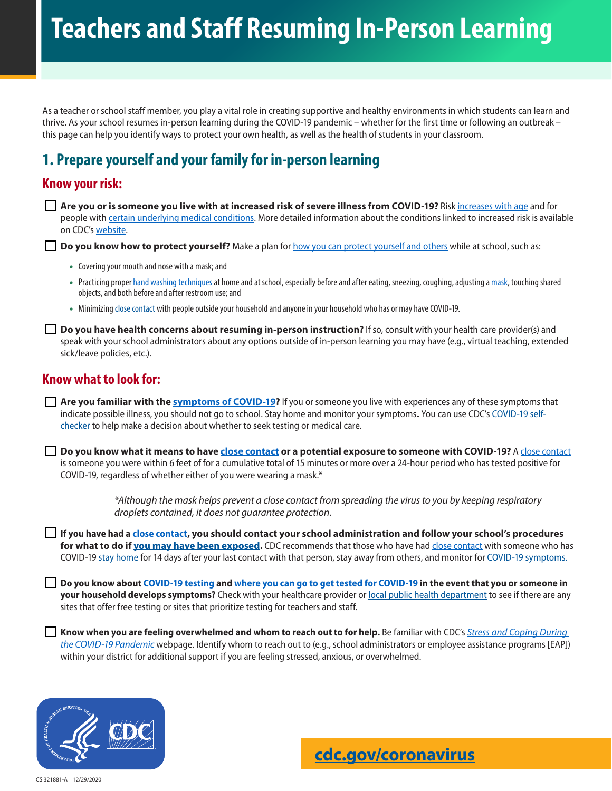# **Teachers and Staff Resuming In-Person Learning**

As a teacher or school staff member, you play a vital role in creating supportive and healthy environments in which students can learn and thrive. As your school resumes in-person learning during the COVID-19 pandemic – whether for the first time or following an outbreak – this page can help you identify ways to protect your own health, as well as the health of students in your classroom.

## **1. Prepare yourself and your family for in-person learning**

### **Know your risk:**

**Are you or is someone you live with at increased risk of severe illness from COVID-19?** Risk [increases with age](https://www.cdc.gov/coronavirus/2019-ncov/need-extra-precautions/older-adults.html) and for people with [certain underlying medical conditions](https://www.cdc.gov/coronavirus/2019-ncov/need-extra-precautions/people-with-medical-conditions.html). More detailed information about the conditions linked to increased risk is available on CDC's [website.](https://www.cdc.gov/coronavirus/2019-ncov/need-extra-precautions/people-with-medical-conditions.html)

**Do you know how to protect yourself?** Make a plan for [how you can protect yourself and others](https://www.cdc.gov/coronavirus/2019-ncov/prevent-getting-sick/prevention.html) while at school, such as:

- Covering your mouth and nose with a mask; and
- Practicing proper [hand washing techniques](https://www.cdc.gov/coronavirus/2019-ncov/prevent-getting-sick/prevention.html) at home and at school, especially before and after eating, sneezing, coughing, adjusting a [mask](https://www.cdc.gov/coronavirus/2019-ncov/prevent-getting-sick/cloth-face-cover-guidance.html), touching shared objects, and both before and after restroom use; and
- Minimizing close contact with people outside your household and anyone in your household who has or may have COVID-19.

**Do you have health concerns about resuming in-person instruction?** If so, consult with your health care provider(s) and speak with your school administrators about any options outside of in-person learning you may have (e.g., virtual teaching, extended sick/leave policies, etc.).

## **Know what to look for:**

**Are you familiar with the [symptoms of COVID-19?](https://www.cdc.gov/coronavirus/2019-ncov/symptoms-testing/symptoms.html)** If you or someone you live with experiences any of these symptoms that indicate possible illness, you should not go to school. Stay home and monitor your symptoms**.** You can use CDC's [COVID-19 self](https://www.cdc.gov/coronavirus/2019-ncov/symptoms-testing/symptoms.html)[checker](https://www.cdc.gov/coronavirus/2019-ncov/symptoms-testing/symptoms.html) to help make a decision about whether to seek testing or medical care.

**Do you know what it means to have close contact or a potential exposure to someone with COVID-19?** A close contact is someone you were within 6 feet of for a cumulative total of 15 minutes or more over a 24-hour period who has tested positive for COVID-19, regardless of whether either of you were wearing a mask.\*

> *\*Although the mask helps prevent a close contact from spreading the virus to you by keeping respiratory droplets contained, it does not guarantee protection.*

**If you have had a close contact, you should contact your school administration and follow your school's procedures for what to do if [you may have been exposed](https://www.cdc.gov/coronavirus/2019-ncov/if-you-are-sick/quarantine.html).** CDC recommends that those who have had [close contact](https://www.cdc.gov/coronavirus/2019-ncov/if-you-are-sick/quarantine.html) with someone who has COVID-19 [stay home](https://www.cdc.gov/coronavirus/2019-ncov/if-you-are-sick/quarantine.html) for 14 days after your last contact with that person, stay away from others, and monitor for [COVID-19 symptoms.](https://www.cdc.gov/coronavirus/2019-ncov/symptoms-testing/symptoms.html)

**Do you know about [COVID-19 testing](https://www.cdc.gov/coronavirus/2019-ncov/symptoms-testing/testing.html) and [where you can go to get tested for COVID-19 in](https://www.hhs.gov/coronavirus/community-based-testing-sites/index.html) the event that you or someone in your household develops symptoms?** Check with your healthcare provider or [local public health department](https://www.cdc.gov/publichealthgateway/healthdirectories/index.html) to see if there are any sites that offer free testing or sites that prioritize testing for teachers and staff.

**Know when you are feeling overwhelmed and whom to reach out to for help.** Be familiar with CDC's *[Stress and Coping During](https://www.cdc.gov/coronavirus/2019-ncov/daily-life-coping/stress-coping/index.html)  [the COVID-19 Pandemic](https://www.cdc.gov/coronavirus/2019-ncov/daily-life-coping/stress-coping/index.html)* webpage. Identify whom to reach out to (e.g., school administrators or employee assistance programs [EAP]) within your district for additional support if you are feeling stressed, anxious, or overwhelmed.

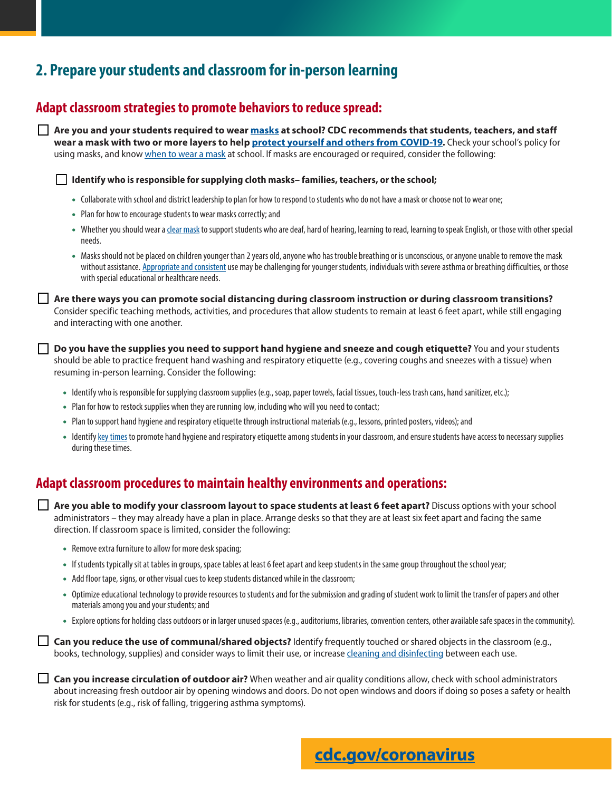## **2. Prepare your students and classroom for in-person learning**

## **Adapt classroom strategies to promote behaviors to reduce spread:**

**Are you and your students required to wear [masks](https://www.cdc.gov/coronavirus/2019-ncov/community/schools-childcare/cloth-face-cover.html) at school? CDC recommends that students, teachers, and staff wear a mask with two or more layers to help [protect yourself and others from COVID-19.](https://www.cdc.gov/coronavirus/2019-ncov/more/masking-science-sars-cov2.html)** Check your school's policy for using masks, and know [when to wear a mask](https://www.cdc.gov/coronavirus/2019-ncov/downloads/community/CFC_Guide_for_School_Administrators.pdf) at school. If masks are encouraged or required, consider the following:

**Identify who is responsible for supplying cloth masks– families, teachers, or the school;** 

- Collaborate with school and district leadership to plan for how to respond to students who do not have a mask or choose not to wear one;
- Plan for how to encourage students to wear masks correctly; and
- Whether you should wear a [clear mask](https://www.cdc.gov/coronavirus/2019-ncov/community/schools-childcare/cloth-face-cover.html) to support students who are deaf, hard of hearing, learning to read, learning to speak English, or those with other special needs.
- Masks should not be placed on children younger than 2 years old, anyone who has trouble breathing or is unconscious, or anyone unable to remove the mask without assistance. [Appropriate and consistent](https://www.cdc.gov/coronavirus/2019-ncov/prevent-getting-sick/how-to-wear-cloth-face-coverings.html) use may be challenging for younger students, individuals with severe asthma or breathing difficulties, or those with special educational or healthcare needs.

**Are there ways you can promote social distancing during classroom instruction or during classroom transitions?** Consider specific teaching methods, activities, and procedures that allow students to remain at least 6 feet apart, while still engaging and interacting with one another.

**Do you have the supplies you need to support hand hygiene and sneeze and cough etiquette?** You and your students should be able to practice frequent hand washing and respiratory etiquette (e.g., covering coughs and sneezes with a tissue) when resuming in-person learning. Consider the following:

- Identify who is responsible for supplying classroom supplies (e.g., soap, paper towels, facial tissues, touch-less trash cans, hand sanitizer, etc.);
- Plan for how to restock supplies when they are running low, including who will you need to contact;
- Plan to support hand hygiene and respiratory etiquette through instructional materials (e.g., lessons, printed posters, videos); and
- Identify [key times](https://www.cdc.gov/handwashing/when-how-handwashing.html) to promote hand hygiene and respiratory etiquette among students in your classroom, and ensure students have access to necessary supplies during these times.

#### **Adapt classroom procedures to maintain healthy environments and operations:**

**Are you able to modify your classroom layout to space students at least 6 feet apart?** Discuss options with your school administrators – they may already have a plan in place. Arrange desks so that they are at least six feet apart and facing the same direction. If classroom space is limited, consider the following:

- Remove extra furniture to allow for more desk spacing;
- If students typically sit at tables in groups, space tables at least 6 feet apart and keep students in the same group throughout the school year;
- Add floor tape, signs, or other visual cues to keep students distanced while in the classroom;
- Optimize educational technology to provide resources to students and for the submission and grading of student work to limit the transfer of papers and other materials among you and your students; and
- Explore options for holding class outdoors or in larger unused spaces (e.g., auditoriums, libraries, convention centers, other available safe spaces in the community).

**Can you reduce the use of communal/shared objects?** Identify frequently touched or shared objects in the classroom (e.g., books, technology, supplies) and consider ways to limit their use, or increase [cleaning and disinfecting](https://www.cdc.gov/coronavirus/2019-ncov/community/schools-childcare/clean-disinfect-hygiene.html) between each use.

**Can you increase circulation of outdoor air?** When weather and air quality conditions allow, check with school administrators about increasing fresh outdoor air by opening windows and doors. Do not open windows and doors if doing so poses a safety or health risk for students (e.g., risk of falling, triggering asthma symptoms).